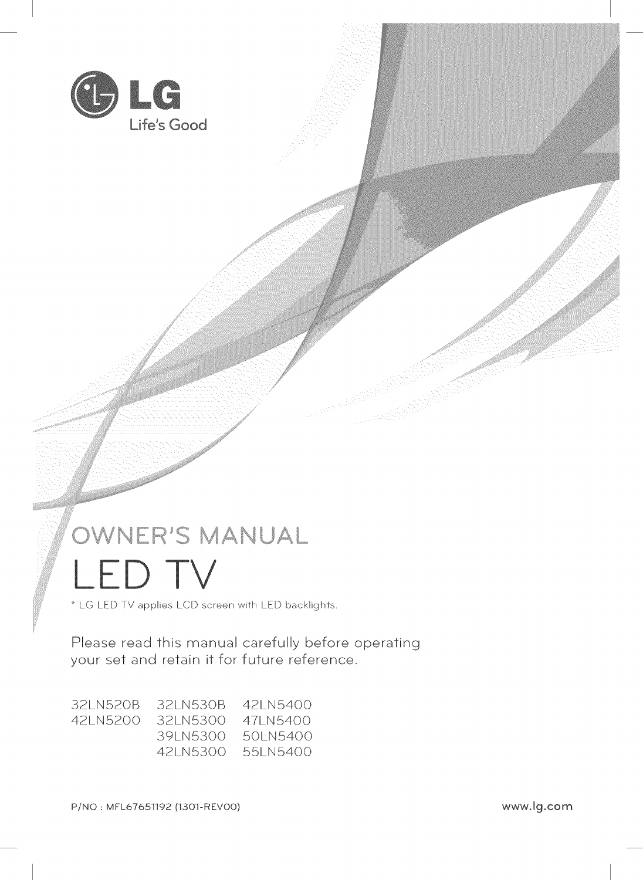

# OWNER'S MANUAL ED TV

LG LED TV applies LCD screen with LED backlights.

Please read this manual carefully before operating your set and retain it for future reference.

 $\mathbb{Z}^2$ 

| -32LN520B | -32LN530B - 42LN5400 |            |
|-----------|----------------------|------------|
| 42LN5200  | 32LN5300 47LN5400    |            |
|           | -391 N5300           | .501 N5400 |
|           | 42LN5300             | 55LN5400   |

P/NO: MFL67651192 (1301-REVO0) www.lg.com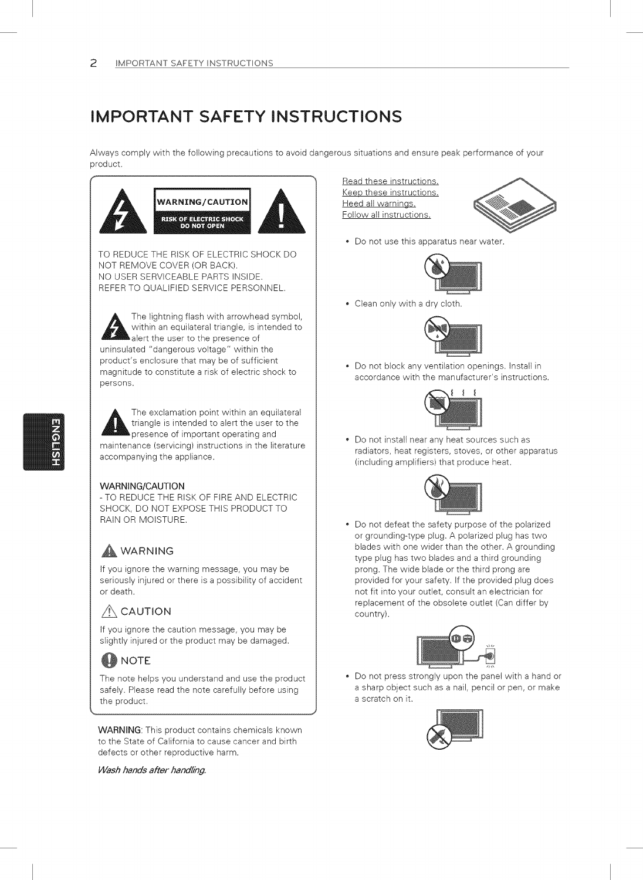### IMPORTANT SAFETY INSTRUCTIONS

Always comply with the following precautions to avoid dangerous situations and ensure peak performance of your product.



The lightning flash with arrowhead symbol, within an equilateral triangle, is intended to alert the user to the presence of uninsulated "dangerous voltage" within the product's enclosure that may be of sufficient magnitude to constitute a risk of electric shock to persons.

The exclamation point within an equilateral<br>triangle is intended to alert the user to the triangle is intended to alert the user to the presence of important operating and maintenance (servicing) instructions in the literature accompanying the appliance.

#### WARNING/CAUTION

-TO REDUCE THE RiSK OF FiRE AND ELECTRIC SHOCK, DO NOT EXPOSE THIS PRODUCT TO RAIN OR MOISTURE.

#### **A** WARNING

If you ignore the warning message, you may be seriously injured or there is a possibility of accident or death.

### **A** CAUTION

If you ignore the caution message, you may be stightly injured or the product may be damaged.

#### **BA** NOTE

The note helps you understand and use the product safely. Please read the note carefully before using the product.

WARNING: This product contains chemicals known to the State of California to cause cancer and birth defects or other reproductive harm.

Wash hands after handling.

Read these instructions. Keep these instructions. Heed all warnings. Follow all instructions.



Do not use this apparatus near water.



Clean only with a dry cloth.



Do not block any ventilation openings. Install in accordance with the manufacturer's instructions.



Do not install near any heat sources such as radiators, heat registers, stoves, or other apparatus (including amplifiers) that produce heat.



Do not defeat the safety purpose of the polarized or grounding-type plug. A polarized plug has two blades with one wider than the other. A grounding type plug has two blades and a third grounding prong. The wide blade or the third prong are provided for your safety. If the provided plug does not fit into your outlet, consult an electrician for replacement of the obsolete outlet (Can differ by country).



Do not press strongly upon the panel with a hand or a sharp object such as a nail, pencil or pen, or make a scratch on it.

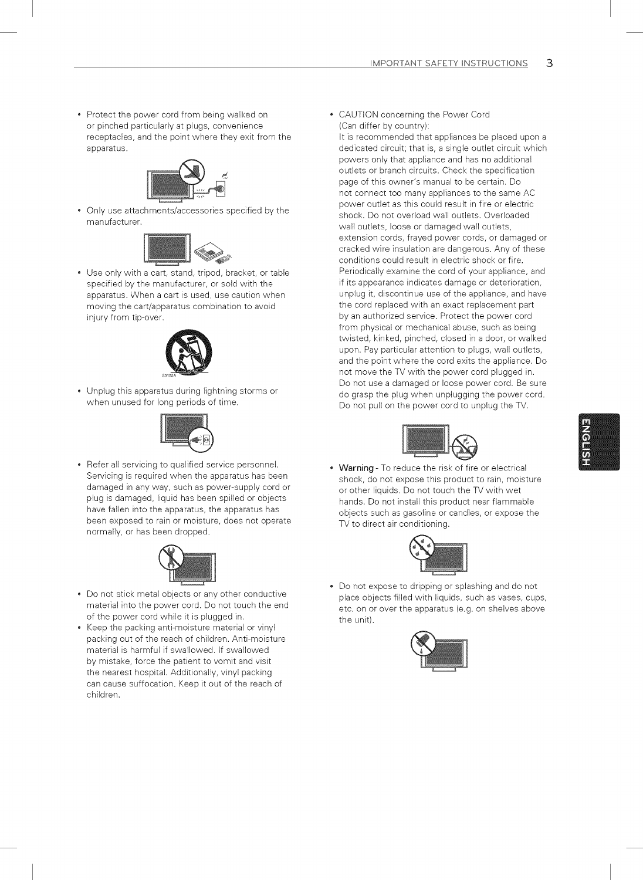• Protect the power cord from being walked on or pinched particularly at plugs, convenience receptacles, and the point where they exit from the apparatus.



Only use attachments/accessories specified by the manufacturer.



Use only with a cart, stand, tripod, bracket, or table specified by the manufacturer, or sold with the apparatus. When a cart is used, use caution when moving the cart/apparatus combination to avoid injury from tip-over.



Unplug this apparatus during lightning storms or when unused for long periods of time.



• Refer all servicing to qualified service personnel. Servicing is required when the apparatus has been damaged in any way, such as power-supply cord or plug is damaged, liquid has been spilled or objects have fallen into the apparatus, the apparatus has been exposed to rain or moisture, does not operate normally, or has been dropped.



- Do not stick metal objects or any other conductive material into the power cord. Do not touch the end of the power cord while it is ptugged in.
- Keep the packing anti-moisture material or vinyl packing out of the reach of children. Anti-moisture material is harmful if swallowed. If swallowed by mistake, force the patient to vomit and visit the nearest hospital. Additionally, vinyl packing can cause suffocation. Keep it out of the reach of children.

CAUTION concerning the Power Cord (Can differ by country):

It is recommended that appliances be placed upon a dedicated circuit; that is, a single outlet circuit which powers only that appliance and has no additional outlets or branch circuits. Check the specification page of this owner's manual to be certain. Do not connect too many appliances to the same AC power outlet as this could result in fire or electric shock. Do not overload wall outlets. Overloaded wall outlets, loose or damaged wall outlets, extension cords, frayed power cords, or damaged or cracked wire insulation are dangerous. Any of these conditions could result in electric shock or fire. Periodically examine the cord of your appliance, and if its appearance indicates damage or deterioration, unplug it, discontinue use of the appliance, and have the cord replaced with an exact replacement part by an authorized service. Protect the power cord from physical or mechanical abuse, such as being twisted, kinked, pinched, closed in a door, or walked upon. Pay particular attention to plugs, wall outlets, and the point where the cord exits the appliance. Do not move the TV with the power cord plugged in. Do not use a damaged or loose power cord. Be sure do grasp the plug when unplugging the power cord. Do not pull on the power cord to unplug the TV.



• Warning - To reduce the risk of fire or electrical shock, do not expose this product to rain, moisture or other liquids. Do not touch the TV with wet hands. Do not install this product near flammable objects such as gasoline or candles, or expose the TV to direct air conditioning.



Do not expose to dripping or splashing and do not place objects filled with liquids, such as vases, cups, etc. on or over the apparatus (e.g. on shelves above the unit).

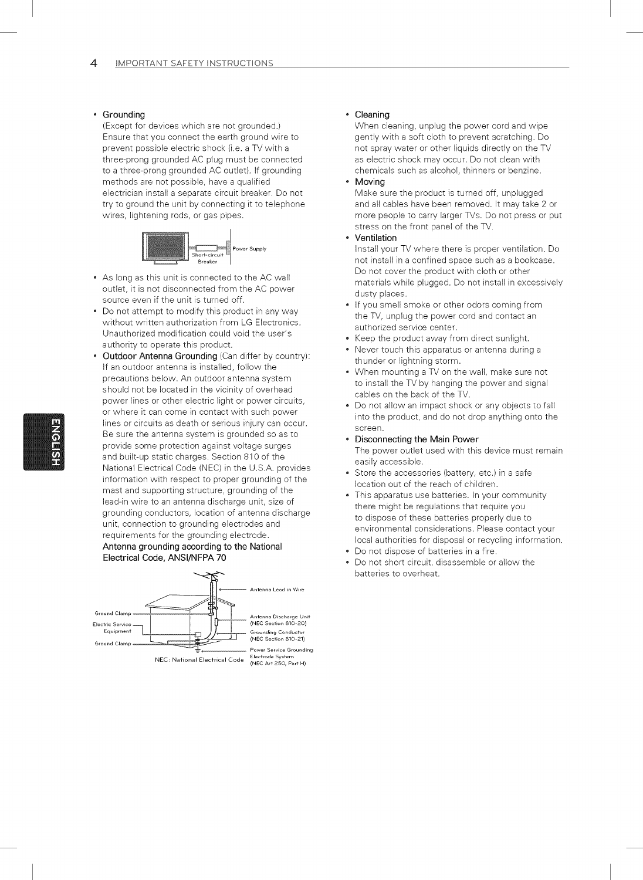#### Grounding

(Except for devices which are not grounded.) Ensure that you connect the earth ground wire to prevent possible electric shock (i.e. a TV with a three-prong grounded AC plug must be connected to a three-prong grounded AC outlet). If grounding methods are not possible, have a qualified electrician install a separate circuit breaker. Do not try to ground the unit by connecting it to telephone wires, lightening rods, or gas pipes.



- As long as this unit is connected to the AC wall outlet, it is not disconnected from the AC power source even if the unit is turned off.
- Do not attempt to modify this product in any way without written authorization from LG Electronics. Unauthorized modification could void the user's authority to operate this product.
- Outdoor Antenna Grounding (Can differ by country): If an outdoor antenna is installed, foliow the precautions below. An outdoor antenna system should not be located in the vicinity of overhead power lines or other electric light or power circuits, or where it can come in contact with such power lines or circuits as death or serious injury can occur. Be sure the antenna system is grounded so as to provide some protection against voltage surges and built-up static charges. Section 810 of the National Electrical Code (NEC) in the U.S.A. provides information with respect to proper grounding of the mast and supporting structure, grounding of the lead-in wire to an antenna discharge unit, size of grounding conductors, location of antenna discharge unit, connection to grounding electrodes and requirements for the grounding electrode. Antenna grounding according to the National Electrical Code, ANSl/NFPA 70



#### Cleaning

When cleaning, unplug the power cord and wipe gently with a soft cloth to prevent scratching. Do not spray water or other liquids directly on the TV as electric shock may occur. Do not clean with chemicals such as alcohol, thinners or benzine.

#### Moving

Make sure the product is turned off, unplugged and all cables have been removed. It may take 2 or more people to carry larger TVs. Do not press or put stress on the front panel of the TV.

#### Ventilation

Install your TV where there is proper ventilation. Do not install in a confined space such as a bookcase. Do not cover the product with cloth or other materials while plugged. Do not install in excessively dusty places.

- If you smell smoke or other odors coming from the TV, unplug the power cord and contact an authorized service center.
- Keep the product away from direct sunlight.
- Never touch this apparatus or antenna during a thunder or lightning storm.
- When mounting a TV on the wall, make sure not to install the TV by hanging the power and signal cables on the back of the TV.
- Do not allow an impact shock or any objects to fall into the product, and do not drop anything onto the screen.
- Disconnecting the Main Power The power outlet used with this device must remain easily accessible.
- Store the accessories (battery, etc.) in a safe location out of the reach of children.
- This apparatus use batteries. In your community there might be regulations that require you to dispose of these batteries properly due to environmental considerations. Please contact your local authorities for disposal or recycling information.
- Do not dispose of batteries in a fire.
- Do not short circuit, disassemble or allow the batteries to overheat.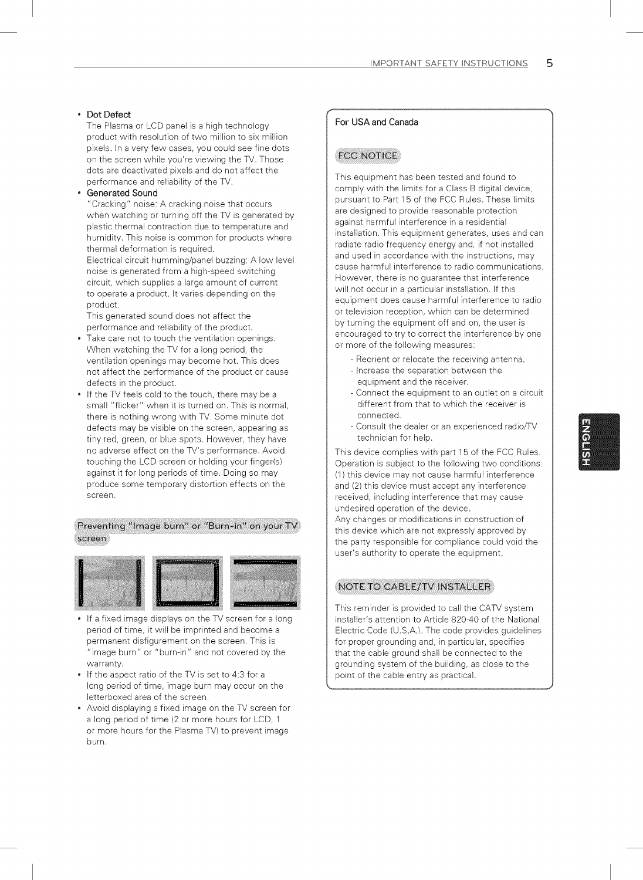#### Dot Defect

The Plasma or LCD panel is a high technology product with resolution of two million to six million pixels. In a very few cases, you could see fine dots on the screen while you're viewing the TV. Those dots are deactivated pixels and do not affect the performance and reliability of the TV.

#### Generated Sound

"Cracking" noise: A cracking noise that occurs when watching or turning off the TV is generated by plastic thermal contraction due to temperature and humidity. This noise is common for products where thermal deformation is required.

Electrical circuit humming/panel buzzing: A low level noise is generated from a high-speed switching circuit, which supplies a large amount of current to operate a product. It varies depending on the product.

This generated sound does not affect the performance and reliability of the product.

- Take care not to touch the ventilation openings. When watching the TV for a long period, the ventilation openings may become hot. This does not affect the performance of the product or cause defects in the product.
- If the TV feels cold to the touch, there may be a small "flicker" when it is turned on. This is normal, there is nothing wrong with TV. Some minute dot defects may be visible on the screen, appearing as tiny red, green, or blue spots. However, they have no adverse effect on the TV's performance. Avoid touching the LCD screen or holding your finger(s) against it for long periods of time. Doing so may produce some temporary distortion effects on the screen.

#### Preventing "Image burn" or "Burn-in" on your TV screen



- If a fixed image displays on the TV screen for a long period of time, it will be imprinted and become a permanent disfigurement on the screen. This is "image burn" or "burn-in" and not covered by the warranty.
- If the aspect ratio of the TV is set to 4:3 for a long period of time, image burn may occur on the letterboxed area of the screen.
- Avoid displaying a fixed image on the TV screen for a long period of time (2 or more hours for LCD, 1 or more hours for the Plasma TV) to prevent image burn.

#### For USA and Canada

#### **FCC NOTICE**

This equipment has been tested and found to comply with the limits for a Class B digital device, pursuant to Part 15 of the FCC Rules. These limits are designed to provide reasonable protection against harmful interference in a residential installation. This equipment generates, uses and can radiate radio frequency energy and, if not installed and used in accordance with the instructions, may cause harmful interference to radio communications. However, there is no guarantee that interference will not occur in a particular installation. If this equipment does cause harmful interference to radio or television reception, which can be determined by turning the equipment off and on, the user is encouraged to try to correct the interference by one or more of the following measures:

- Reorient or relocate the receiving antenna.
- Increase the separation between the equipment and the receiver.
- Connect the equipment to an outlet on a circuit different from that to which the receiver is connected.
- Consult the dealer or an experienced radio/TV technician for help.

This device complies with part 15 of the FCC Rules. Operation is subject to the following two conditions: (I) this device may not cause harmful interference and (2) this device must accept any interference received, including interference that may cause undesired operation of the device. Any changes or modifications in construction of

this device which are not expressly approved by the party responsible for compliance could void the user's authority to operate the equipment.

#### NOTE TO CABLE/TV INSTALLER

This reminder is provided to call the CATV system installer's attention to Article 820-40 of the National Electric Code (U.S.A.). The code provides guidelines for proper grounding and, in particular, specifies that the cable ground shall be connected to the grounding system of the building, as close to the point of the cable entry as practical.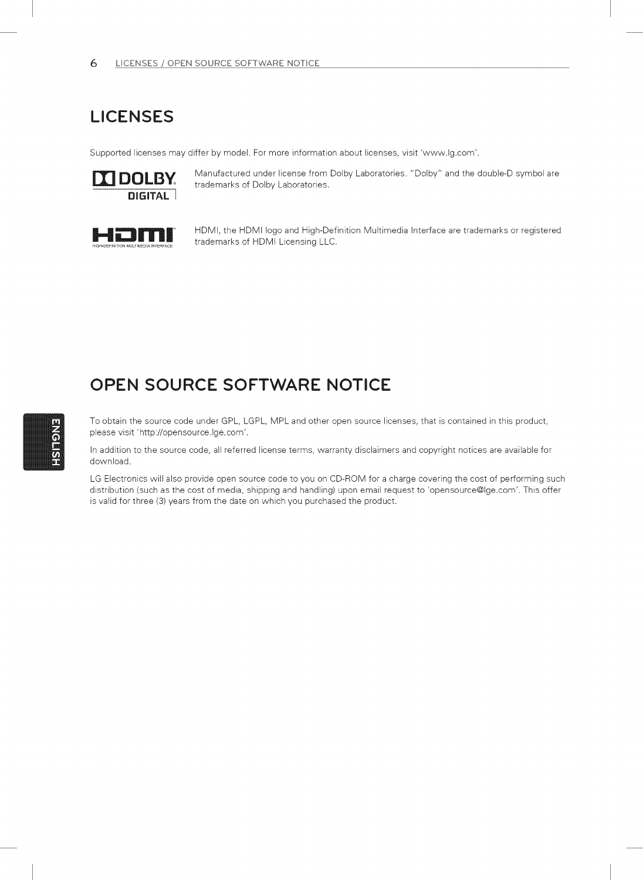### LICENSES

Supported licenses may differ by model. For more information about licenses, visit 'www.lg.com'.



Manufactured under license from Dolby Laboratories. "Dolby" and the double-D symbol are trademarks of Dolby Laboratories.



HDMi, the HDMi logo and High-Definition Multimedia interface are trademarks or registered trademarks of HDMI Licensing LLC.

### OPEN SOURCE SOFTWARE NOTICE

To obtain the source code under GPL, LGPL, MPL and other open source licenses, that is contained in this product, please visit 'http://opensource.lge.com'.

in addition to the source code, all referred license terms, warranty disclaimers and copyright notices are available for download.

LG Electronics will also provide open source code to you on CD-ROM for a charge covering the cost of performing such distribution (such as the cost of media, shipping and handling) upon email request to 'opensource@lge.com'. This offer is valid for three (3) years from the date on which you purchased the product.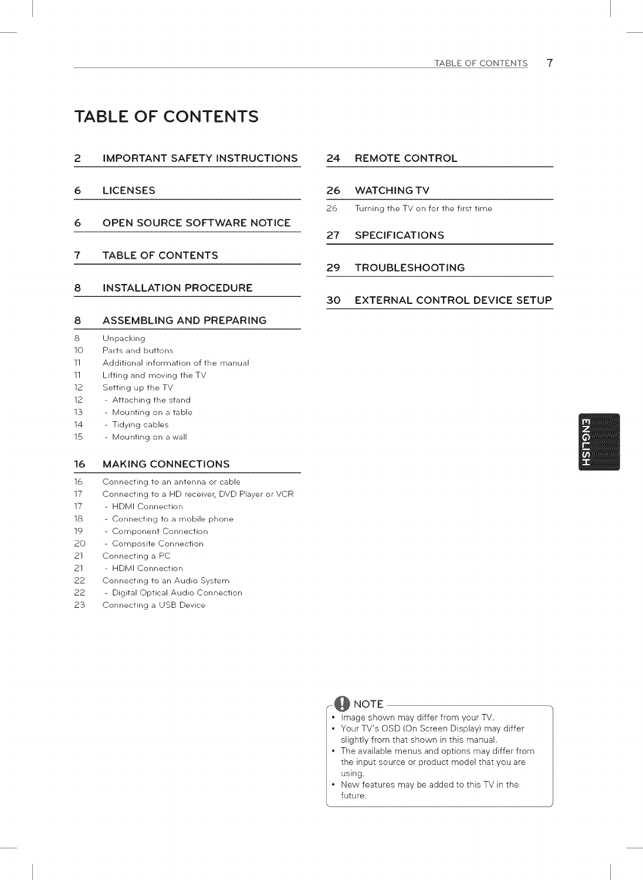### TABLE OF CONTENTS

#### **2** IMPORTANT SAFETY INSTRUCTIONS **24** REMOTE CONTROL

- 6 LICENSES
- 6 OPEN SOURCE SOFTWARE NOTICE

#### 7 TABLE OF CONTENTS

#### 8 INSTALLATION PROCEDURE

#### 8 ASSEMBLING AND PREPARING

- 8 Unpacking
- 10 Parts and buttons
- 11 Additional information of the manual
- 11 Lifting and moving the TV
- 12 Setting up the TV
- 12 **-** Attaching the stand
- 13 **-** Mounting on a table
- 14 **-** Tidying cables
- 15 **-** Mounting on a wall

#### 16 MAKING CONNECTIONS

- 16 Connecting to an antenna or cable
- 17 Connecting to a HD receiver, DVD Player or VCR
- 17 HDMI Connection
- 18 **-** Connecting to a mobile phone
- 19 Component Connection
- 20 **-** Composite Connection
- 21 Connecting a PC
- 21 **-** HDMI Connection
- 22 Connecting to an Audio System
- 22 **-** Digital Optical Audio Connection
- 23 Connecting a USB Device

#### 26 WATCHING TV

26 Turning the TV on for the first time

#### 27 SPECIFICATIONS

#### 29 TROUBLESHOOTING

#### 30 EXTERNAL CONTROL DEVICE SETUP



- image shown may differ from your TV. Your TV's OSD (On Screen Display) may differ
- slightly from that shown in this manual.
- The available menus and options may differ from the input source or product model that you are using.
- New features may be added to this TV in the future.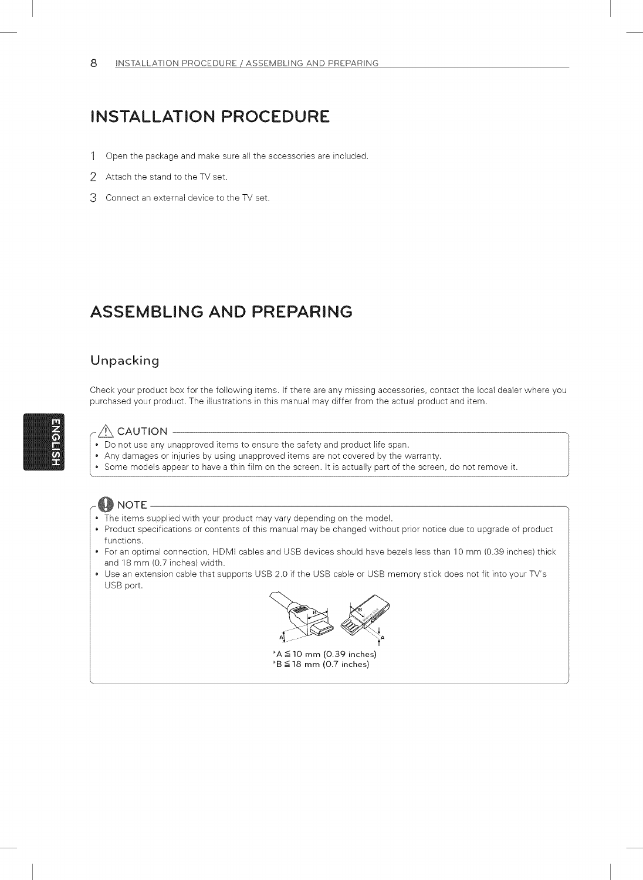### INSTALLATION PROCEDURE

- 1 Open the package and make sure all the accessories are included.
- 2 Attach the stand to the TV set.
- 3 Connect an external device to the TV set.

### ASSEMBLING AND PREPARING

### Unpacking

Check your product box for the following items. If there are any missing accessories, contact the local dealer where you purchased your product. The illustrations in this manual may differ from the actual product and item.

#### $\bigwedge$  CAUTION

- Do not use any unapproved items to ensure the safety and product life span.
- Any damages or injuries by using unapproved items are not covered by the warranty.
- Some models appear to have a thin film on the screen. It is actually part of the screen, do not remove it.



- The items supplied with your product may vary depending on the model.
- Product specifications or contents of this manual may be changed without prior notice due to upgrade of product functions.
- For an optimal connection, HDMI cables and USB devices should have bezels less than 10 mm (0.39 inches) thick and 18 mm (0.7 inches) width.
- Use an extension cable that supports USB 2.0 if the USB cable or USB memory stick does not fit into your TV's USB port.



 $*A \leq 10$  mm (0.39 inches)  $*B \leq 18$  mm (0.7 inches)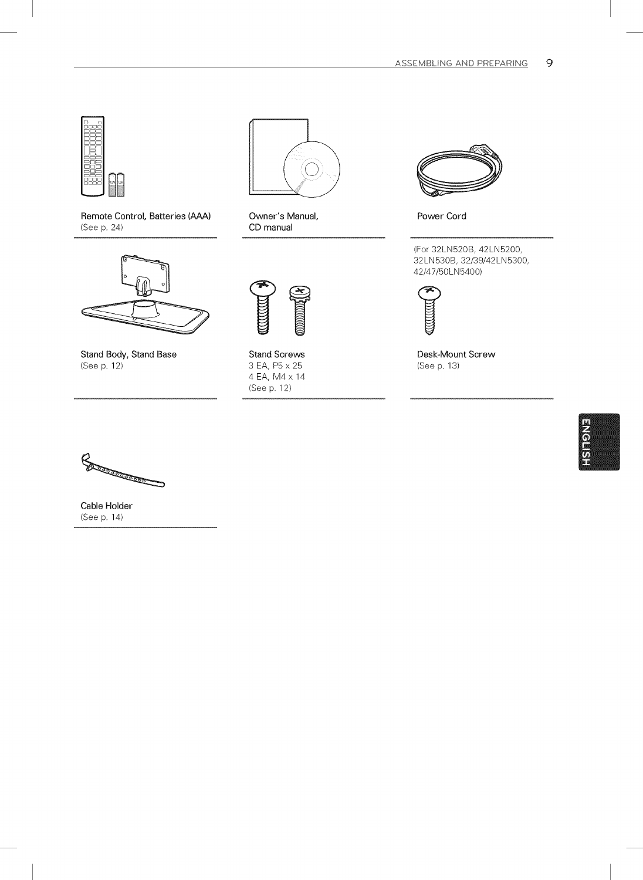

Remote Control, Batteries (AAA) (See p. 24)



Stand Body, Stand Base (See p. 12)



Owner's Manual, CD manual



Stand Screws 3 EA, P5 x 25 4 EA, M4 x 14 (See p. 12)



Power Cord

(For 32LNB20B, 42LN5200, 32LNB30B, 32/39/42LN5300, 42/47/50LN5400)



Desk-Mount Screw (See p. 13)



**Comments** 

Cable Holder (See p. 14)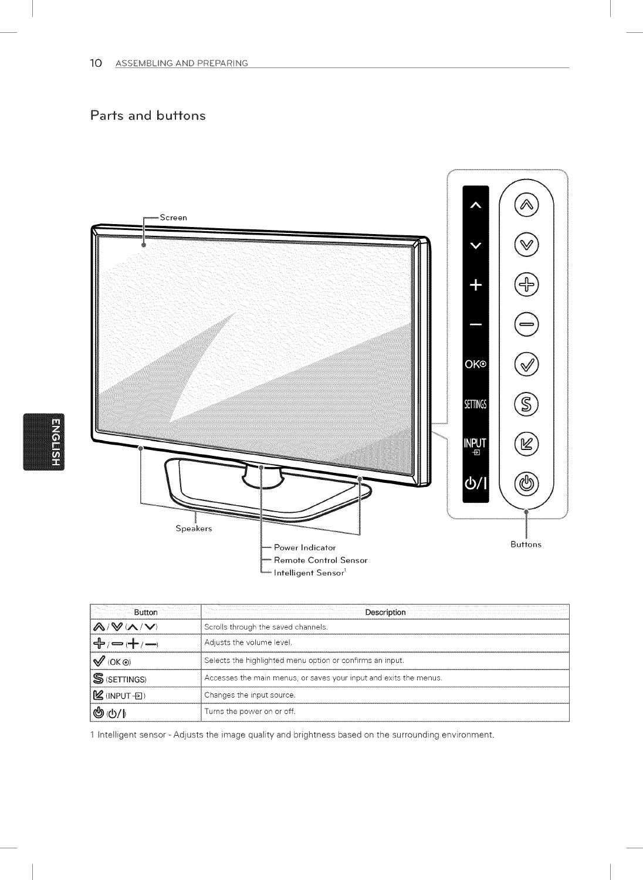### Parts and buttons



|                                       | <b>Example 2016</b> Description                                   |
|---------------------------------------|-------------------------------------------------------------------|
| $\bigwedge/\bigvee/\bigwedge/\bigvee$ | Scrolls through the saved channels.                               |
| - د د د د د د د                       | Adjusts the volume level.                                         |
| $\mathscr{A}$ (OK $\odot$ )           | Selects the highlighted menu option or confirms an input.         |
| $\mathbb S$ (SETTINGS)                | Accesses the main menus, or saves your input and exits the menus. |
| $\mathcal{L}$ (INPUT $\oplus$ )       | Changes the input source.                                         |
|                                       | Turns the power on or off.                                        |

1 Intelligent sensor - Adjusts the image quality and brightness based on the surrounding environment,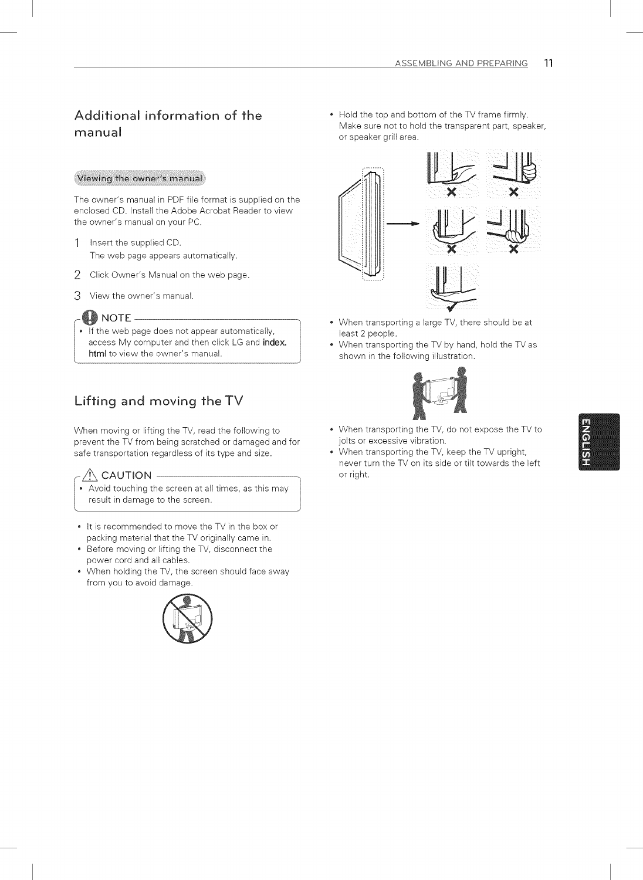### Additional information of the manual

#### Viewing the owner's manual

The owner's manual in PDF file format is supplied on the enclosed CD. Install the Adobe Acrobat Reader to view the owner's manual on your PC.

- 1 Insert the supplied CD. The web page appears automatically.
- 2 Click Owner's Manual on the web page.
- 3 View the owner's manual.

#### $@$  $@$  NOTE -

If the web page does not appear automatically, access My computer and then click LG and index. html to view the owner's manual.

### Lifting and moving theTV

When moving or lifting the TV, read the following to prevent the TV from being scratched or damaged and for safe transportation regardless of its type and size.

#### $\bigwedge$  CAUTION -

- Avoid touching the screen at all times, as this may result in damage to the screen.
- It is recommended to move the TV in the box or packing material that the TV originally came in.
- Before moving or lifting the TV, disconnect the power cord and all cables.
- When holding the TV, the screen should face away from you to avoid damage.



• Hold the top and bottom of the TV frame firmly. Make sure not to hold the transparent part, speaker, or speaker grill area.



- When transporting a large TV, there should be at least 2 people.
- When transporting the TV by hand, hold the TV as shown in the following illustration.



- When transporting the TV, do not expose the TV to jolts or excessive vibration.
- When transporting the TV, keep the TV upright, never turn the TV on its side or tilt towards the left or right.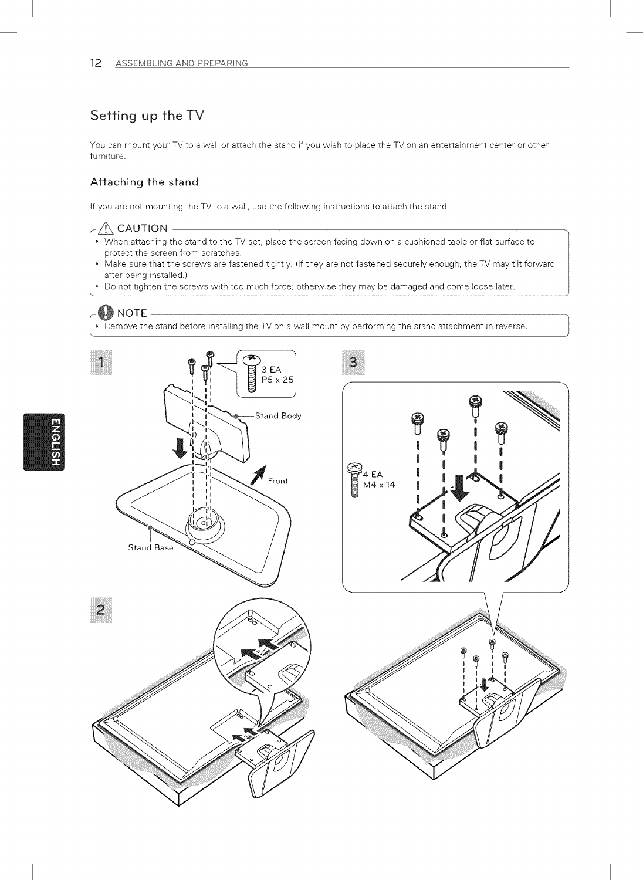### Setting up the TV

You can mount your TV to a wall or attach the stand if you wish to place the TV on an entertainment center or other furniture.

#### Affaching fhe sfand

If you are not mounting the TV to a wall, use the following instructions to attach the stand.

### $\triangle$  CAUTION .

- When attaching the stand to the TV set, place the screen facing down on a cushioned table or flat surface to protect the screen from scratches.
- Make sure that the screws are fastened tightly. (If they are not fastened securely enough, the TV may tilt forward after being installed.)
- Do not tighten the screws with too much force; otherwise they may be damaged and come loose later.

**EXECUTE:**<br>• Remove the stand before installing the TV on a wall mount by performing the stand attachment in reverse.





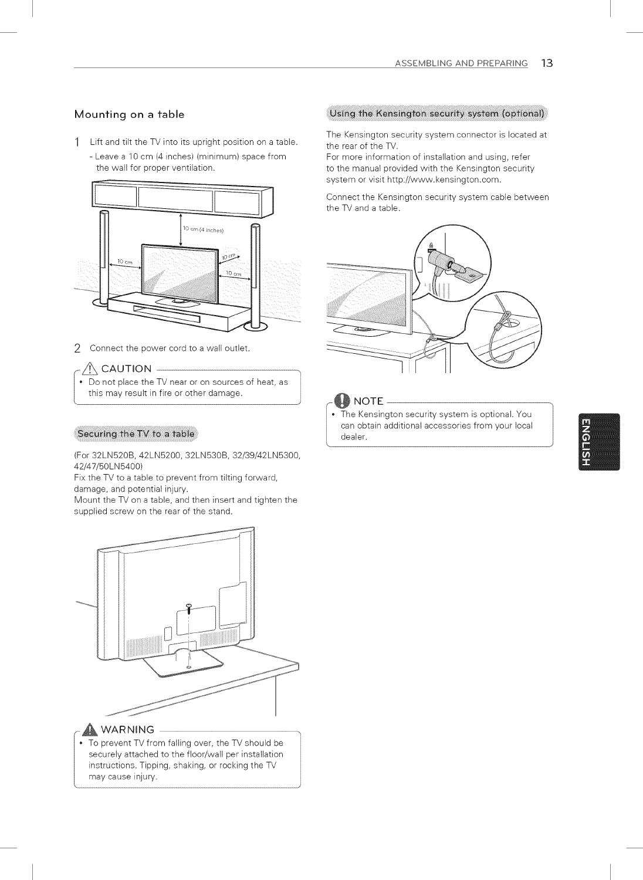#### Mounting on a table

- 1 Lift and titt the TV into its upright position on a table.
	- Leave a 10 cm (4 inches) (minimum) space from the wall for proper ventilation.



2 Connect the power cord to a wall outlet.

#### $\bigwedge\limits_{}^{}$  CAUTION -

• Do not place the TV near or on sources of heat, as this may result in fire or other damage.

#### Securing the TV to a table

(For 32LNB20B, 42LN5200, 32LNB30B, 32/39/42LN5300, 42/47/50LN5400)

Fix the TV to a table to prevent from tilting forward, damage, and potential injury.

Mount the TV on a table, and then insert and tighten the supplied screw on the rear of the stand.



#### **A** WARNING

• To prevent TV from falling over, the TV should be securely attached to the floor/wall per installation instructions, Tipping, shaking, or rocking the TV may cause injury,

#### (Using the Kensington security system (optional)

The Kensington security system connector is located at the rear of the TV.

For more information of installation and using, refer to the manual provided with the Kensington security system or visit http://www.kensington.com.

Connect the Kensington security system cable between the TV and a table.



#### **NOTE**

The Kensington security system is optional. You can obtain additional accessories from your local dealer.

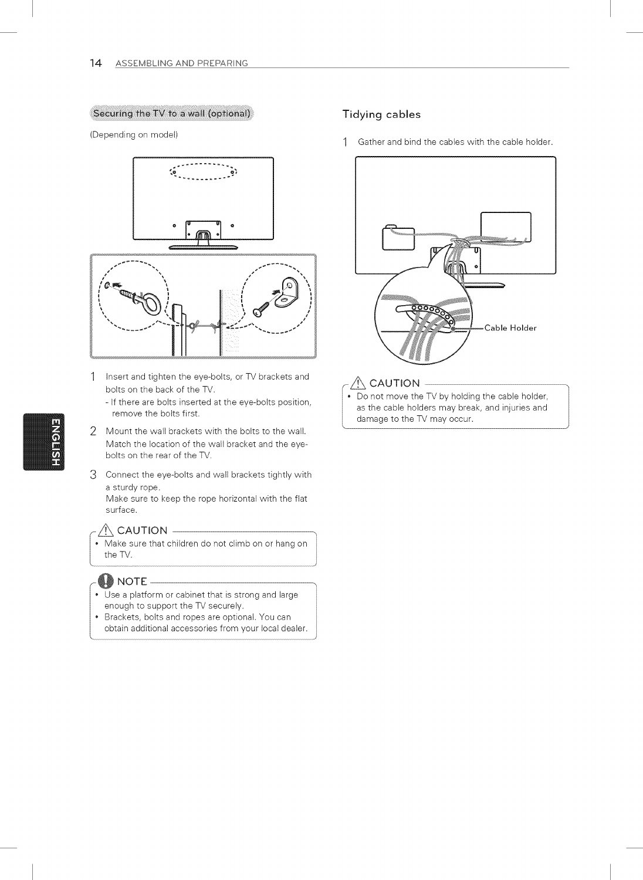#### (Securing the TV to a wall (optional)

(Depending on model)



- 1 Insert and tighten the eye-bolts, or TV brackets and bolts on the back of the TV.
	- If there are bolts inserted at the eye-bolts position, remove the bolts first.
- 2 Mount the wall brackets with the bolts to the wall. Match the location of the wall bracket and the eyebolts on the rear of the TV.
- Connect the eye-bolts and wall brackets tightly with a sturdy rope.

Make sure to keep the rope horizontal with the flat surface.

#### $\sqrt{N}$  CAUTION  $-$

• Make sure that children do not climb on or hang on the TV.

#### **W** NOTE

- Use a platform or cabinet that is strong and large enough to support the TV securely.
- Brackets, bolts and ropes are optional. You can obtain additional accessories from your local dealer

#### Tidying cables

1 Gather and bind the cables with the cable holder.



### $\hat{N}$  CAUTION –

Do not move the TV by holding the cable holder, as the cable holders may break, and injuries and damage to the TV may occur.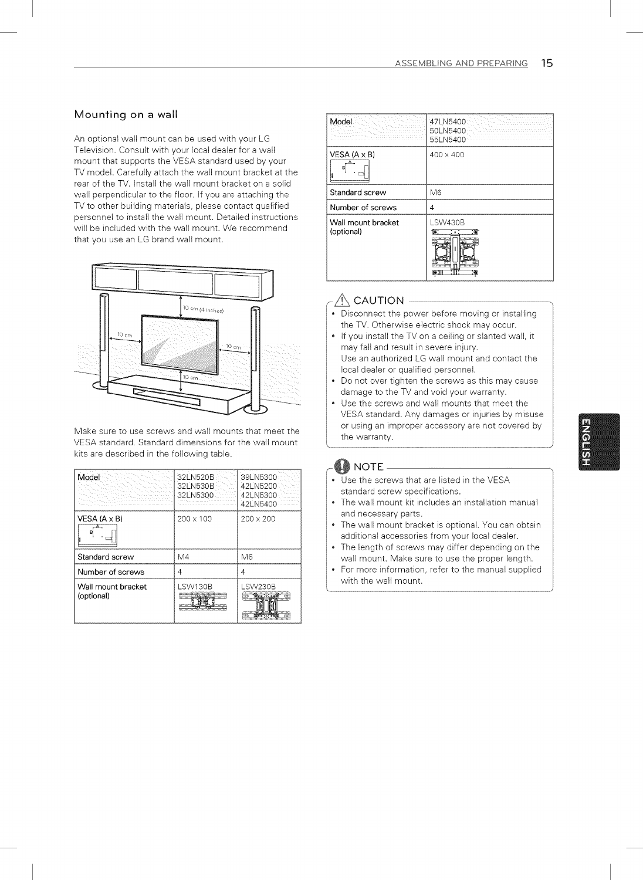#### Mounting on a wall

An optional wall mount can be used with your LG Television, Consult with your local dealer for a wall mount that supports the VESA standard used by your TV model, Carefully attach the wall mount bracket at the rear of the TV, Install the wall mount bracket on a solid wall perpendicular to the floor, If you are attaching the TV to other building materials, please contact qualified personnel to install the wall mount. Detailed instructions will be included with the wall mount. We recommend that you use an LG brand wall mount,



Make sure to use screws and wall mounts that meet the VESA standard. Standard dimensions for the wall mount kits are described in the following table.

| Model                            | 32LN520B<br>32LN530B<br>32LN5300 | 39LN5300<br>42LN5200<br>42LN5300<br>42LN5400 |
|----------------------------------|----------------------------------|----------------------------------------------|
| VESA (A x B)                     | $200 \times 100$                 | $200 \times 200$                             |
| Standard screw                   | M4                               | M6                                           |
| Number of screws                 | 4                                | 4                                            |
| Wall mount bracket<br>(optional) | LSW130B                          | LSW230B                                      |

| Model                            | 47LN5400<br>50LN5400<br>55LN5400 |
|----------------------------------|----------------------------------|
| VESA $(A \times B)$<br>в         | $400 \times 400$                 |
| Standard screw                   | M6                               |
| Number of screws                 | 4                                |
| Wall mount bracket<br>(optional) | <b>LSW430B</b><br>丽              |

#### $\bigwedge$  CAUTION –

- Disconnect the power before moving or installing the TV, Otherwise electric shock may occur,
- If you install the TV on a ceiling or slanted wall, it may fall and result in severe injury, Use an authorized LG wall mount and contact the local dealer or qualified personnel,
- Do not over tighten the screws as this may cause damage to the TV and void your warranty,
- Use the screws and wall mounts that meet the VESA standard, Any damages or injuries by misuse or using an improper accessory are not covered by the warranty,

### $\clubsuit$  note -

L\_\_

- Use the screws that are listed in the VESA standard screw specifications,
- The wall mount kit includes an installation manual and necessary parts,
- The wall mount bracket is optional, You can obtain additional accessories from your local dealer,
- The length of screws may differ depending on the wall mount, Make sure to use the proper length,
- For more information, refer to the manual supplied with the wall mount,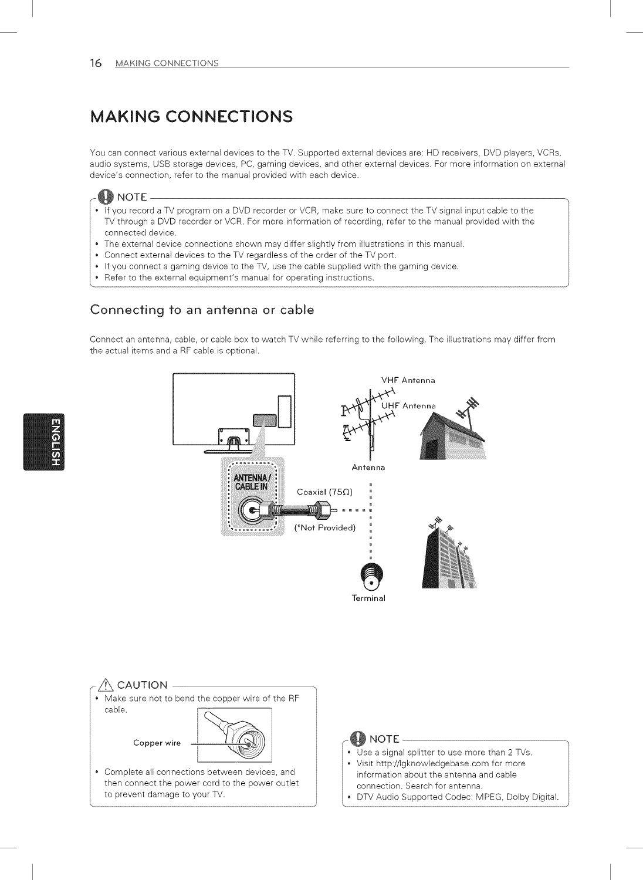## MAKING CONNECTIONS

You can connect various external devices to the TV. Supported external devices are: HD receivers, DVD players, VCRs, audio systems, USB storage devices, PC, gaming devices, and other external devices. For more information on external device's connection, refer to the manual provided with each device.



- If you record a TV program on a DVD recorder or VCR, make sure to connect the TV signal input cable to the TV through a DVD recorder or VCR. For more information of recording, refer to the manual provided with the connected device.
- The external device connections shown may differ slightly from illustrations in this manual.
- Connect external devices to the TV regardless of the order of the TV port.
- If you connect a gaming device to the TV, use the cable supplied with the gaming device.
- Refer to the external equipment's manual for operating instructions.

### Connecting to an antenna or cable

Connect an antenna, cable, or cable box to watch TV while referring to the following. The illustrations may differ from the actual items and a RF cable is optional.



 $\hat{\mathbb{A}}$  CAUTION . Make sure not to bend the copper wire of the RF cable. Copper wire Copper wire L Complete all connections between devices, and then connect the power cord to the power outlet to prevent damage to your TV.

### i@ NOTE

- Use a signal splitter to use more than 2 TVs.
- Visit http://lgknowledgebase.com for more information about the antenna and cable connection. Search for antenna.
- DTV Audio Supported Codec: MPEG, Dolby Digital.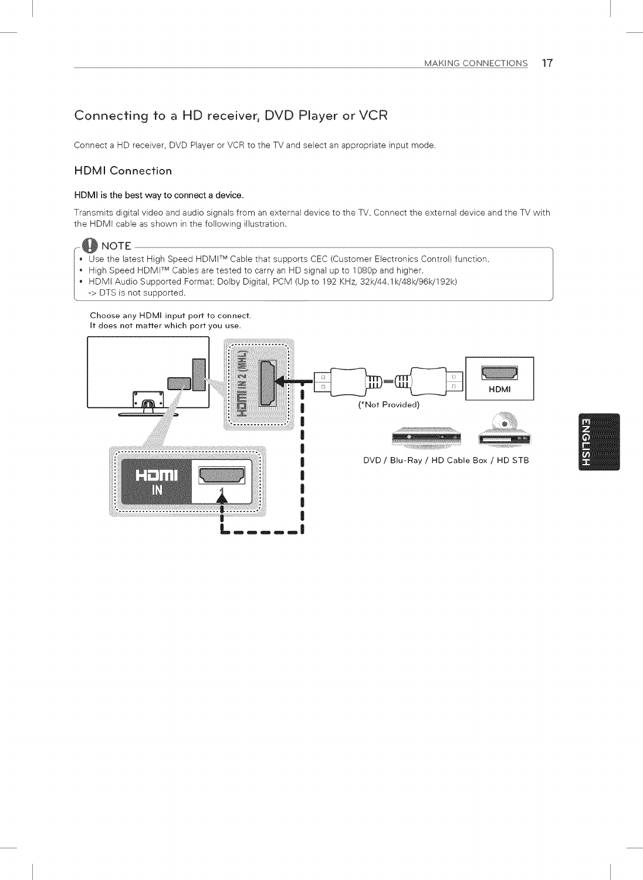### Connecting to a HD receiver, DVD Player or VCR

Connect a HD receiver, DVD Player or VCR to the TV and select an appropriate input mode.

#### HDMI Connection

#### HDMI is the best way to connect a device,

Transmits digital video and audio signals from an external device to the TV. Connect the external device and the TV with the HDMI cable as shown in the following illustration.



- $\bullet~$  Use the latest High Speed HDMI™ Cable that supports CEC (Customer Electronics Control) functior
- High Speed HDMITM Cables are tested to carry an HD signal up to 1080p and higher.
- HDMI Audio Supported Format: Dolby Digital, PCM (Up to 192 KHz, 32k/44.1k/48k/96k/192k)
- -> DTS is not supported.

#### Choose any HDMI input port to connect, **It** does not matter which port you use,



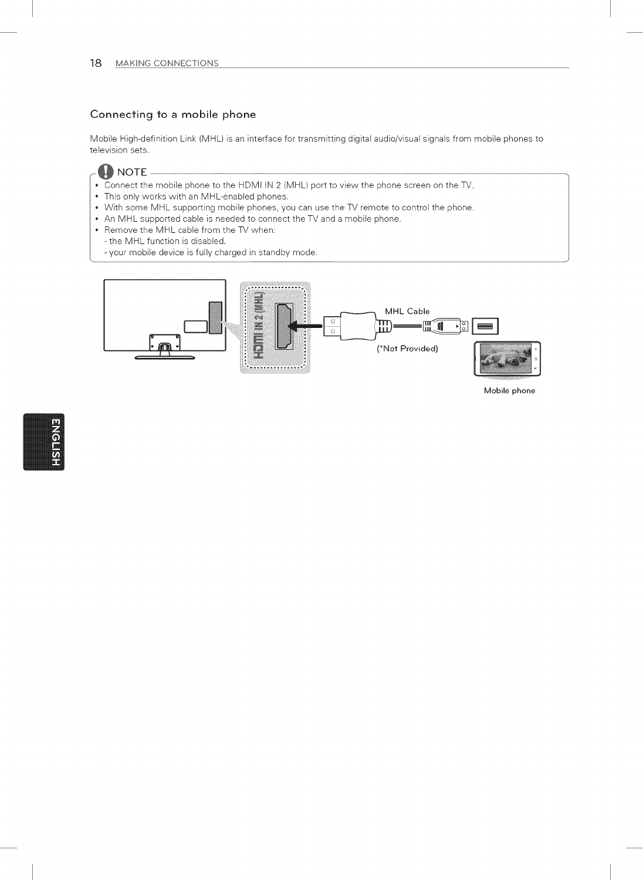#### Connecting to a mobile phone

Mobile High-definition Link (MHL) is an interface for transmitting digital audio/visual signals from mobile phones to television sets.

 $\clubsuit$  note .

 $\mathbf{r}$ 

- \* Connect the mobile phone to the HDMI IN 2 (MHL) port to view the phone screen on the TV.
- \* This only works with an MHL-enabled phones.
- With some MHL supporting mobile phones, you can use the TV remote to control the phone.
- An MHL supported cable is needed to connect the TV and a mobile phone.
- Remove the MHL cable from the TV when:
- the MHL function is disabled.
- your mobile device is fully charged in standby mode.



Mobile phone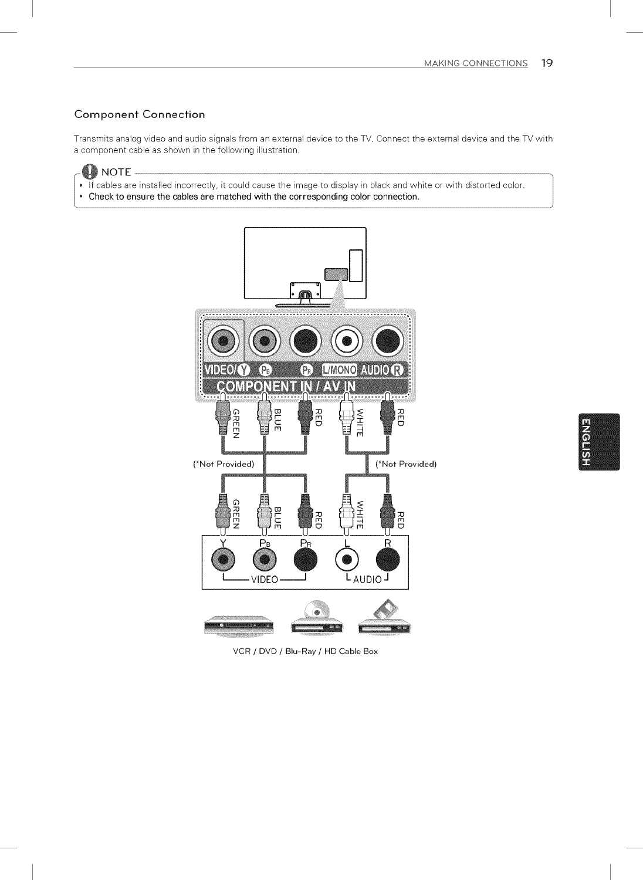#### Component Connection

Transmits analog video and audio signals from an external device to the TV. Connect the external device and the TV with a component cable as shown in the following illustration.



- If cables are installed incorrectly, it could cause the image to display in black and white or with distorted color.
- Check to ensure the cables are matched with the corresponding color connection,



VCR / DVD / Blu-Ray / HD Cable Box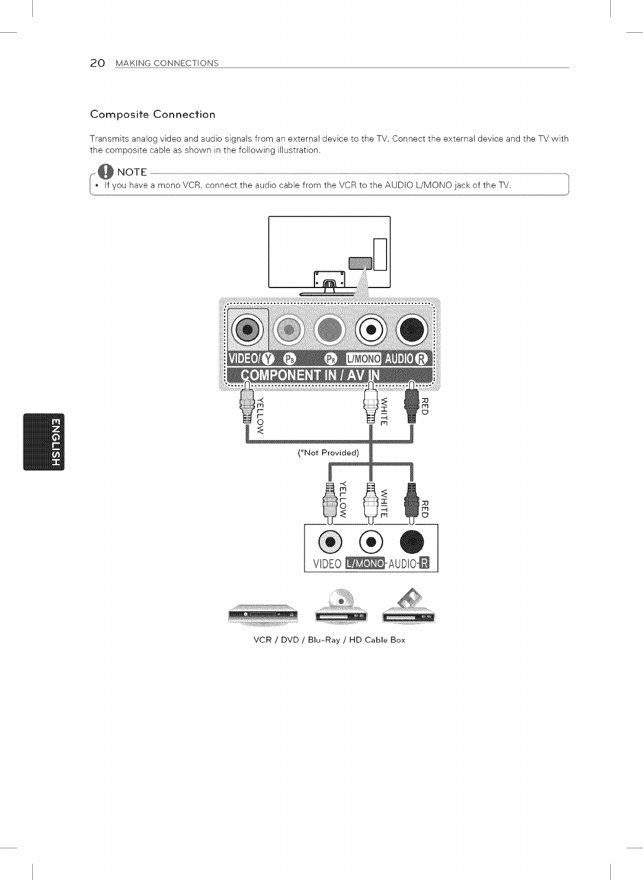#### Composite Connection

Transmits analog video and audio signals from an external device to the TV. Connect the external device and the TV with the composite cable as shown in the following illustration.



If you have a mono VCR, connect the audio cable from the VCR to the AUDIO L/MONO jack of the TV.



VCR / DVD / Blu-Ray / HD Cable Box

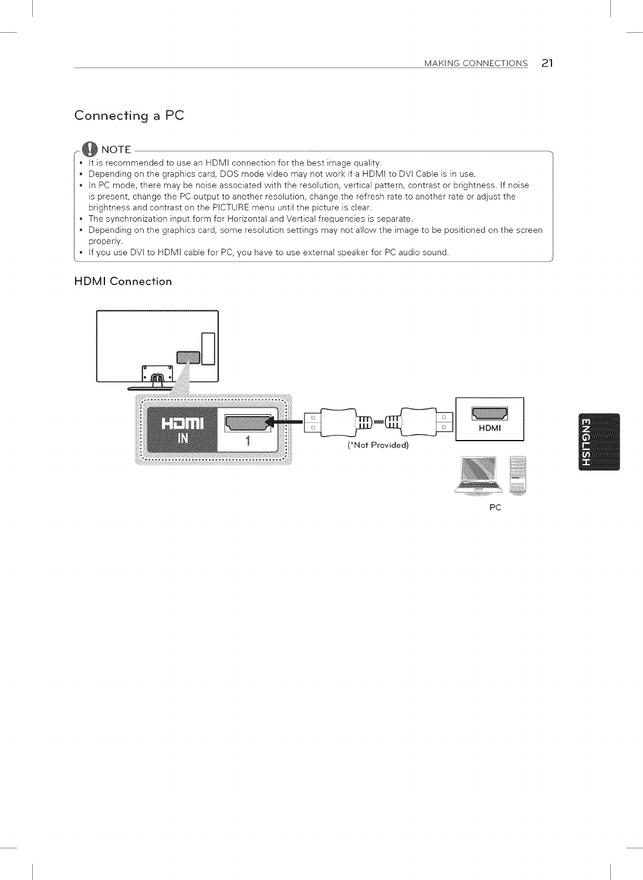### Connecting a PC

#### **M** NOTE

- It is recommended to use an HDMI connection for the best image quality.
- Depending on the graphics card, DOS mode video may not work if a HDMI to DVI Cable is in use.
- In PC mode, there may be noise associated with the resolution, vertical pattern, contrast or brightness. If noise is present, change the PC output to another resolution, change the refresh rate to another rate or adjust the brightness and contrast on the PICTURE menu until the picture is clear.
- The synchronization input form for Horizontal and Vertical frequencies is separate.
- Depending on the graphics card, some resolution settings may not allow the image to be positioned on the screen properly.
- If you use DVI to HDMI cable for PC, you have to use external speaker for PC audio sound.

#### HDMI Connection



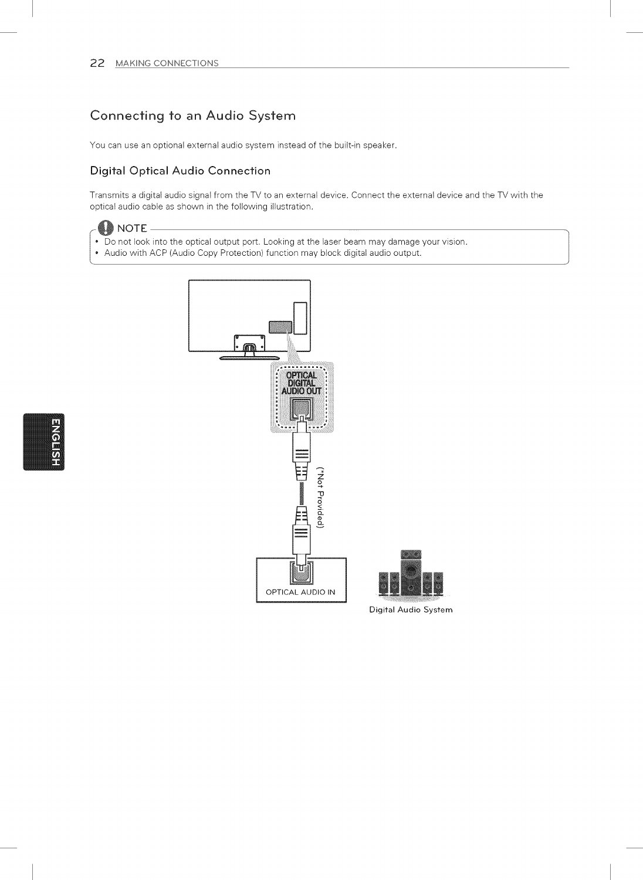### Connecting to an Audio System

You can use an optional external audio system instead of the built-in speaker.

#### Digital Optical Audio Connection

Transmits a digital audio signal from the TV to an external device. Connect the external device and the TV with the optical audio cable as shown in the following illustration.



- Do not look into the optical output port. Looking at the laser beam may damage your vision.
- Audio with ACP (Audio Copy Protection) function may block digital audio output.





Digital Audio System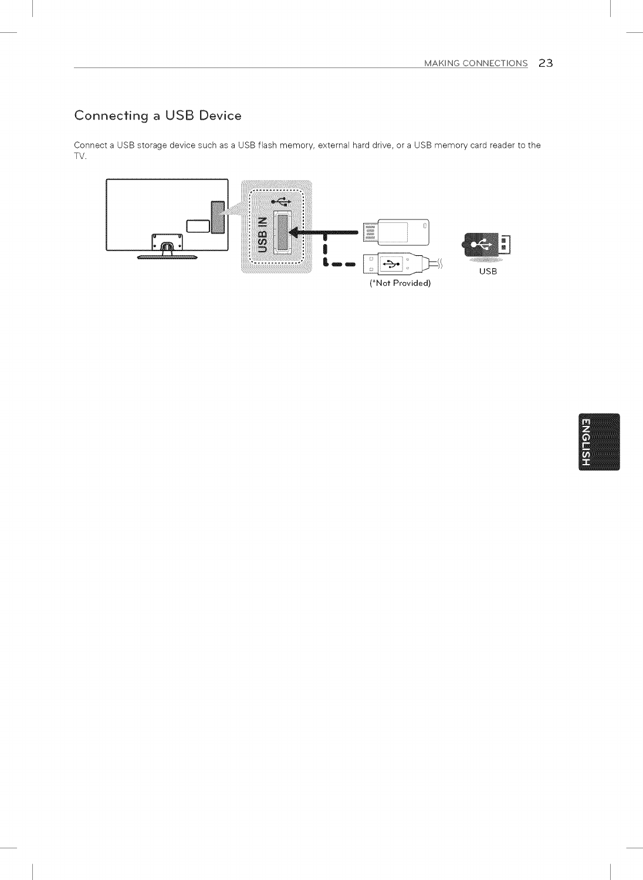## Connecting a USB Device

Connect a USB storage device such as a USB flash memory, external hard drive, or a USB memory card reader to the TV.



**ENGLISH**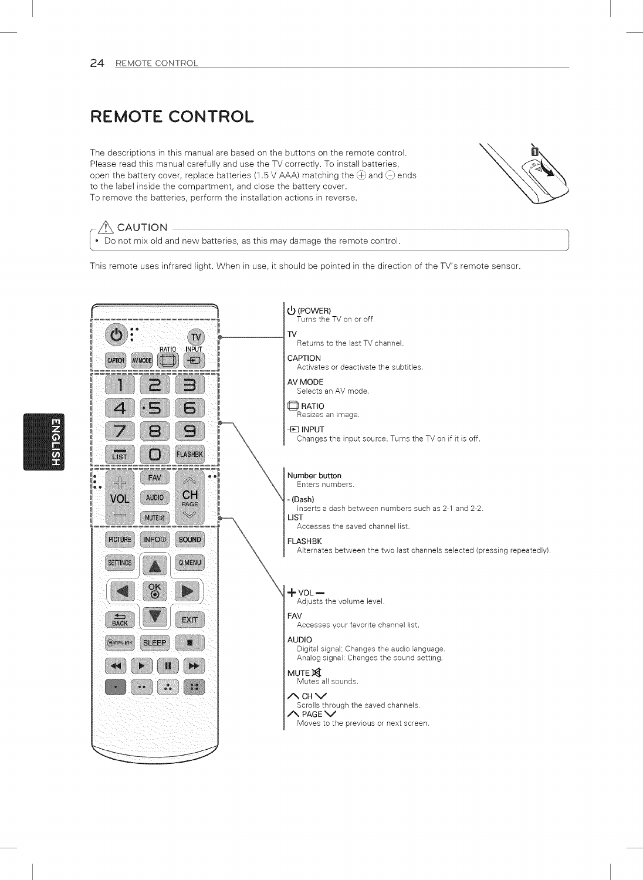## REMOTE CONTROL

The descriptions in this manual are based on the buttons on the remote control. Please read this manual carefully and use the TV correctly. To install batteries, open the battery cover, replace batteries (1.5 V AAA) matching the  $\oplus$  and  $\ominus$  ends to the label inside the compartment, and close the battery cover. To remove the batteries, perform the installation actions in reverse.



#### $\bigwedge$  CAUTION -

Do not mix old and new batteries, as this may damage the remote control.

This remote uses infrared light. When in use, it should be pointed in the direction of the TV's remote sensor.

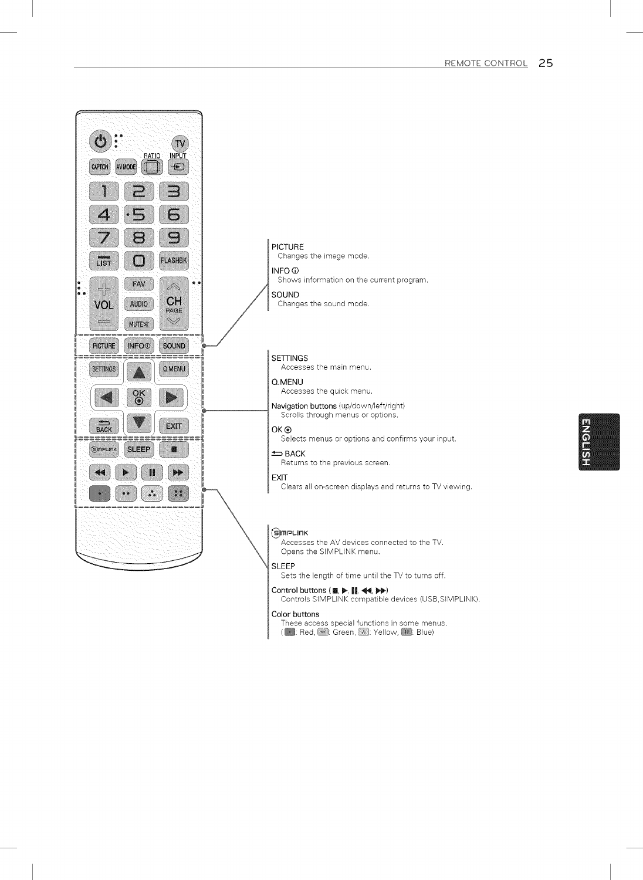

#### Controls SIMPLINK compatible devices (USB,SIMPLINK).

#### Color buttons

These access special functions in some menus. (**a:** Red,  $\left(\frac{1}{2}, \frac{1}{2}\right)$ : Green, **2.** Yellow, **2.** Blue)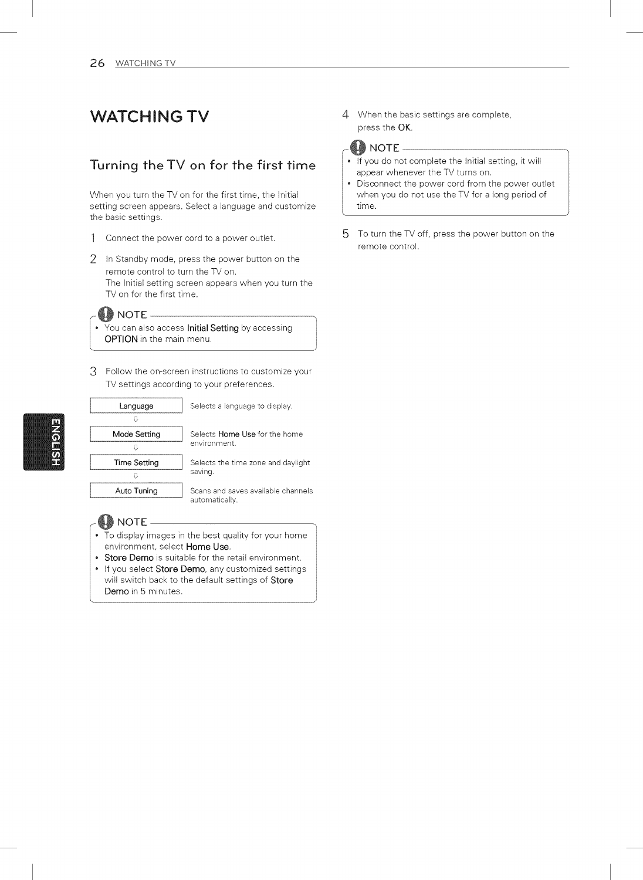### **WATCHING TV**

### Turning the TV on for the first time

When you turn the TV on for the first time, the Initial setting screen appears. Select a language and customize the basic settings.

- 1 Connect the power cord to <sup>a</sup> power outlet.
- 2 in Standby mode, press the power button on the remote control to turn the TV on. The Initial setting screen appears when you turn the TV on for the first time.

word in the control of the setting by accessing<br>
• You can also access **Initial Setting** by accessing OPTION in the main menu.

3 Follow the on-screen instructions to customize your TV settings according to your preferences.



- To display images in the best quality for your home environment, select Home Use.
- Store Demo is suitable for the retail environment.
- If you select Store Demo, any customized settings will switch back to the default settings of Store<br>Demo in 5 minutes.

4 When the basic settings are complete, press the OK.

#### **LD** NOTE -

- if you do not complete the Initial setting, it will appear whenever the TV turns on.
- Disconnect the power cord from the power outlet when you do not use the TV for a long period of time.
- 5 To turn the TV off, press the power button on the remote control.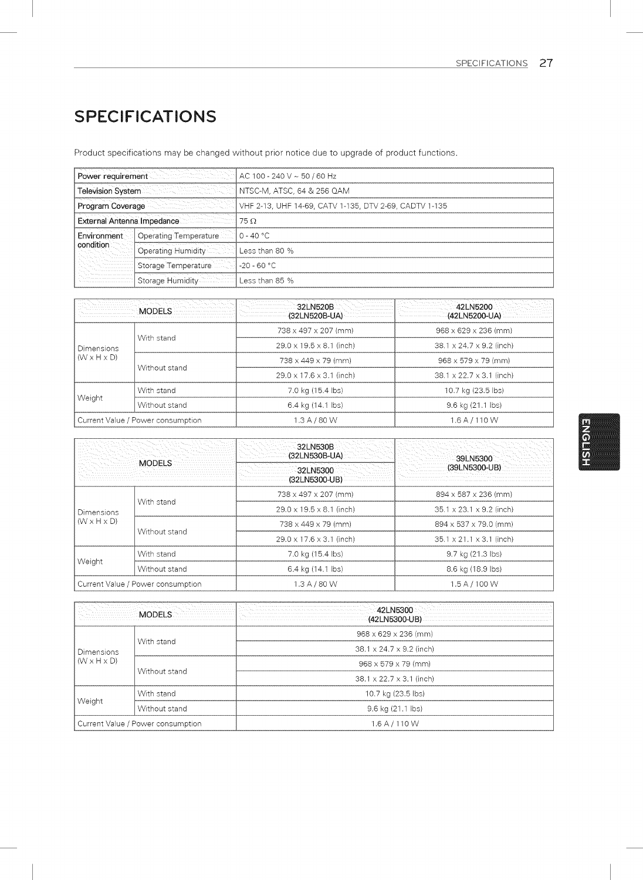## SPECIFICATIONS

Product specifications may be changed without prior notice due to upgrade of product functions.

|                          |                                     | Power requirement $\sim$ $\sim$ $\sim$ $\sim$ $\sim$ 40 $\sim$ 50 $\prime$ 60 $\rm Hz$ |
|--------------------------|-------------------------------------|----------------------------------------------------------------------------------------|
|                          | Television System <b>Television</b> | NTSC-M, ATSC, 64 & 256 QAM                                                             |
| Program Coverage         |                                     | √. √ VHF 2-13, UHF 14-69, CATV 1-135, DTV 2-69, CADTV 1-135                            |
|                          | External Antenna Impedance          | $75\,\Omega$                                                                           |
| Environment<br>condition | Operating Temperature               | l 0 - 40 °C.                                                                           |
|                          | Operating Humidity <b>Company</b>   | Less than 80 %                                                                         |
|                          | Storage Temperature                 | $-20 - 60 °C$                                                                          |
|                          | Storage Humidity                    | Less than 85 %                                                                         |

|                                              | MODELS -                          | $32L$ N520B<br>(32LN520B-UA)         | 42LN5200<br>(42LN5200-UA)            |
|----------------------------------------------|-----------------------------------|--------------------------------------|--------------------------------------|
| <b>Dimensions</b><br>$(W \times H \times D)$ |                                   | 738 x 497 x 207 (mm)                 | $968 \times 629 \times 236$ (mm)     |
|                                              | With stand                        | $29.0 \times 19.5 \times 8.1$ (inch) | $38.1 \times 24.7 \times 9.2$ (inch) |
|                                              | Without stand                     | 738 x 449 x 79 (mm)                  | $968 \times 579 \times 79$ (mm)      |
|                                              |                                   | 29.0 x 17.6 x 3.1 (inch)             | 38.1 x 22.7 x 3.1 (inch)             |
| With stand<br>Weight<br>Without stand        | 7.0 kg (15.4 lbs)                 | 10.7 kg (23.5 lbs)                   |                                      |
|                                              |                                   | 6.4 kg (14.1 lbs)                    | 9.6 kg (21.1 lbs)                    |
|                                              | Current Value / Power consumption | 1.3 A / 80 W                         | 1.6 A / 110 W                        |

|                                                     |                                   | 32LN530B<br>(32LN530B-UA)            | 39LN5300                             |  |
|-----------------------------------------------------|-----------------------------------|--------------------------------------|--------------------------------------|--|
|                                                     |                                   | 32LN5300<br>(32LN5300-UB)            | (39LN5300-UB)                        |  |
| With stand<br>Dimensions<br>$(W \times H \times D)$ |                                   | 738 x 497 x 207 (mm)                 | 894 x 587 x 236 (mm)                 |  |
|                                                     |                                   | $29.0 \times 19.5 \times 8.1$ (inch) | 35.1 x 23.1 x 9.2 (inch)             |  |
|                                                     | Without stand                     | 738 x 449 x 79 (mm)                  | 894 x 537 x 79.0 (mm)                |  |
|                                                     |                                   | 29.0 x 17.6 x 3.1 (inch)             | $35.1 \times 21.1 \times 3.1$ (inch) |  |
| Weight                                              | With stand                        | 7.0 kg (15.4 lbs)                    | 9.7 kg (21.3 lbs)                    |  |
|                                                     | Without stand                     | 6.4 kg (14.1 lbs)                    | 8.6 kg (18.9 lbs)                    |  |
|                                                     | Current Value / Power consumption | 1.3 A / 80 W                         | 1.5 A / 100 W                        |  |

|                                                                             |                                   | $42L$ N5300 $\sim$<br>(42LN5300-UB)  |
|-----------------------------------------------------------------------------|-----------------------------------|--------------------------------------|
| With stand<br><b>Dimensions</b><br>$(W \times H \times D)$<br>Without stand | $968 \times 629 \times 236$ (mm)  |                                      |
|                                                                             |                                   | $38.1 \times 24.7 \times 9.2$ (inch) |
|                                                                             |                                   | $968 \times 579 \times 79$ (mm)      |
|                                                                             |                                   | 38.1 x 22.7 x 3.1 (inch)             |
| With stand<br>Weight<br>Without stand                                       | 10.7 kg (23.5 lbs)                |                                      |
|                                                                             |                                   | 9.6 kg (21.1 lbs)                    |
|                                                                             | Current Value / Power consumption | 1.6 A / 110 W                        |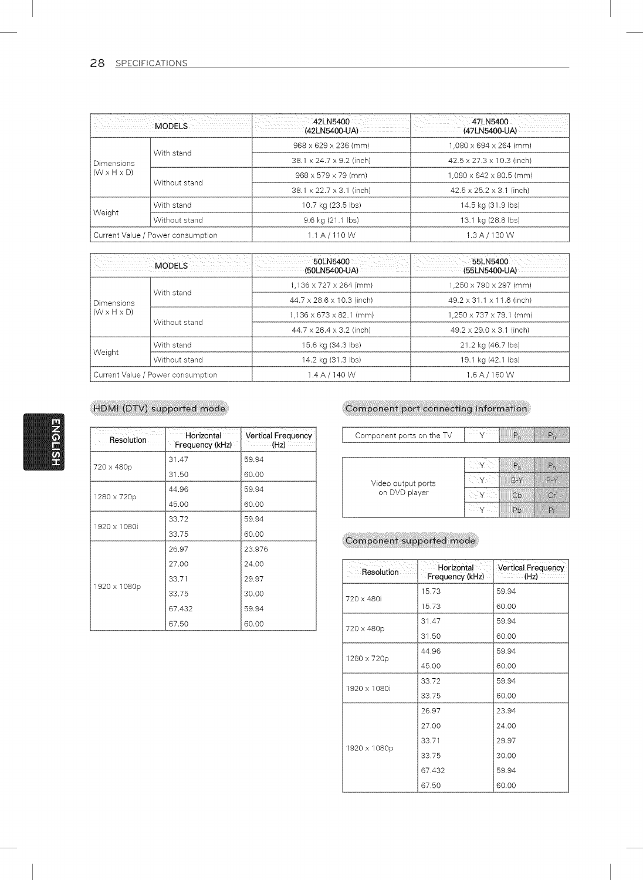#### 28 SPECIFICATIONS

|                                                                             |                                   | 42LN5400<br>(42LN5400-UA)            | 47LN5400<br>(47LN5400-UA)             |
|-----------------------------------------------------------------------------|-----------------------------------|--------------------------------------|---------------------------------------|
| With stand<br><b>Dimensions</b><br>$(W \times H \times D)$<br>Without stand | 968 x 629 x 236 (mm)              | 1,080 x 694 x 264 (mm)               |                                       |
|                                                                             |                                   | 38.1 x 24.7 x 9.2 (inch)             | $42.5 \times 27.3 \times 10.3$ (inch) |
|                                                                             |                                   | 968 x 579 x 79 (mm)                  | $1,080 \times 642 \times 80.5$ (mm)   |
|                                                                             |                                   | $38.1 \times 22.7 \times 3.1$ (inch) | $42.5 \times 25.2 \times 3.1$ (inch)  |
| With stand<br>Weight<br>Without stand                                       | 10.7 kg (23.5 lbs)                | 14.5 kg (31.9 lbs)                   |                                       |
|                                                                             |                                   | 9.6 kg (21.1 lbs)                    | 13.1 kg (28.8 lbs)                    |
|                                                                             | Current Value / Power consumption | 1.1 A / 110 W                        | 1.3 A / 130 W                         |

| MODELS                                                                      |                                    | 50LN5400<br>(50LN5400-UA)             | 55LN5400<br>(55LN5400-UA)             |  |
|-----------------------------------------------------------------------------|------------------------------------|---------------------------------------|---------------------------------------|--|
| With stand<br><b>Dimensions</b><br>$(W \times H \times D)$<br>Without stand | $1.136 \times 727 \times 264$ (mm) | $1.250 \times 790 \times 297$ (mm)    |                                       |  |
|                                                                             |                                    | $44.7 \times 28.6 \times 10.3$ (inch) | $49.2 \times 31.1 \times 11.6$ (inch) |  |
|                                                                             |                                    | $1.136 \times 673 \times 82.1$ (mm)   | $1,250 \times 737 \times 79.1$ (mm)   |  |
|                                                                             |                                    | $44.7 \times 26.4 \times 3.2$ (inch)  | $49.2 \times 29.0 \times 3.1$ (inch)  |  |
| With stand<br>Weight<br>Without stand                                       | 15.6 kg (34.3 lbs)                 | 21.2 kg (46.7 lbs)                    |                                       |  |
|                                                                             |                                    | 14.2 kg (31.3 lbs)                    | 19.1 kg (42.1 lbs)                    |  |
|                                                                             | Current Value / Power consumption  | 1.4 A / 140 W                         | $1.6$ A $/$ 160 W                     |  |

### HDMI (DTV) supported mode

| Resolution   | Horizontal<br>Frequency (kHz) | <b>Vertical Frequency</b><br>(Hz)<br>ta di mandata |
|--------------|-------------------------------|----------------------------------------------------|
|              | 31.47                         | 59.94                                              |
| 720 x 480p   | 31.50                         | 60.00                                              |
|              | 44.96                         | 59.94                                              |
| 1280 x 720p  | 45.00                         | 60.00                                              |
| 1920 x 1080i | 33.72                         | 59.94                                              |
|              | 33.75                         | 60.00                                              |
|              | 26.97                         | 23.976                                             |
| 1920 x 1080p | 27.00                         | 24.00                                              |
|              | 33.71                         | 29.97                                              |
|              | 33.75                         | 30.00                                              |
|              | 67.432                        | 59.94                                              |
|              | 67.50                         | 60.00                                              |

#### Component port connecting information

| Component ports on the TV |  |  |
|---------------------------|--|--|
|                           |  |  |

|                    |                          | P.                 |
|--------------------|--------------------------|--------------------|
| Video output ports |                          |                    |
| on DVD player      | <b>College</b><br>To all | $\curvearrowright$ |
|                    |                          |                    |

#### Component supported mode

| Resolution   | Horizontal<br>Frequency (kHz) | Vertical Frequency<br>(Hz) |
|--------------|-------------------------------|----------------------------|
| 720 x 480i   | 15.73                         | 59.94                      |
|              | 15.73                         | 60.00                      |
| 720 x 480p   | 31.47                         | 59.94                      |
|              | 31.50                         | 60.00                      |
| 1280 x 720p  | 44.96                         | 59.94                      |
|              | 45.00                         | 60.00                      |
| 1920 x 1080i | 33.72                         | 59.94                      |
|              | 33.75                         | 60.00                      |
| 1920 x 1080p | 26.97                         | 23.94                      |
|              | 27.00                         | 24.00                      |
|              | 33.71                         | 29.97                      |
|              | 33.75                         | 30.00                      |
|              | 67.432                        | 59.94                      |
|              | 67.50                         | 60.00                      |

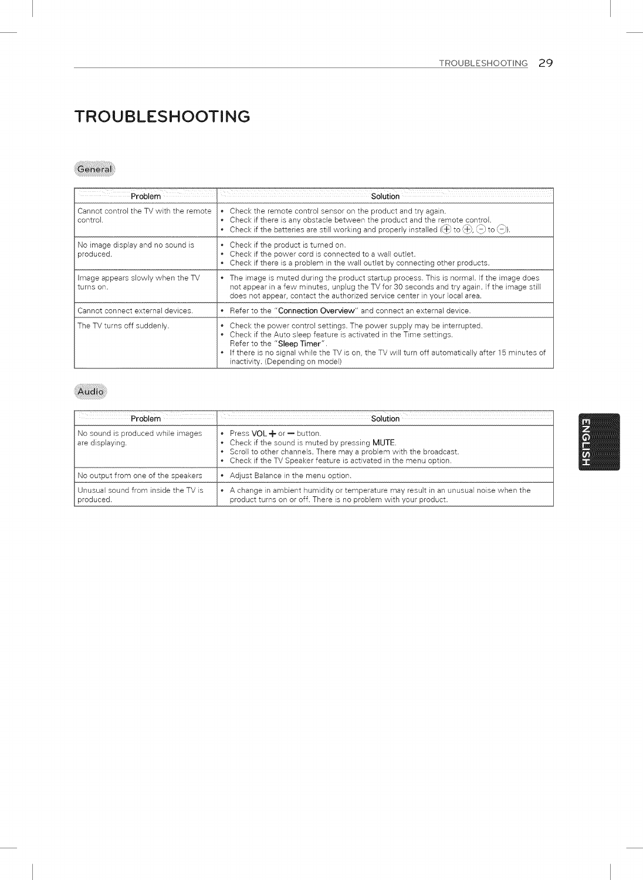## TROUBLESHOOTING

#### General

| Problem                                           | Solution                                                                                                                                                                                                                                                                                                                  |
|---------------------------------------------------|---------------------------------------------------------------------------------------------------------------------------------------------------------------------------------------------------------------------------------------------------------------------------------------------------------------------------|
| Cannot control the TV with the remote<br>control. | • Check the remote control sensor on the product and try again.<br>• Check if there is any obstacle between the product and the remote control.<br>• Check if the batteries are still working and properly installed $(\theta)$ to $(\theta)$ , $(-)$ to $(-)$ ).                                                         |
| No image display and no sound is<br>produced.     | • Check if the product is turned on.<br>• Check if the power cord is connected to a wall outlet.<br>• Check if there is a problem in the wall outlet by connecting other products.                                                                                                                                        |
| Image appears slowly when the TV<br>turns on.     | • The image is muted during the product startup process. This is normal, if the image does<br>not appear in a few minutes, unplug the TV for 30 seconds and try again. If the image still<br>does not appear, contact the authorized service center in your local area.                                                   |
| Cannot connect external devices.                  | • Refer to the "Connection Overview" and connect an external device.                                                                                                                                                                                                                                                      |
| The TV turns off suddenly.                        | • Check the power control settings. The power supply may be interrupted.<br>• Check if the Auto sleep feature is activated in the Time settings.<br>Refer to the "Sleep Timer".<br>. If there is no signal while the TV is on, the TV will turn off automatically after 15 minutes of<br>inactivity. (Depending on model) |

#### Audio

| Problem                                              | Solutior                                                                                                                                                                                                                               |
|------------------------------------------------------|----------------------------------------------------------------------------------------------------------------------------------------------------------------------------------------------------------------------------------------|
| No sound is produced while images<br>are displaying. | • Press VOL $+$ or $-$ button.<br>• Check if the sound is muted by pressing <b>MUTE</b> .<br>• Scroll to other channels. There may a problem with the broadcast.<br>• Check if the TV Speaker feature is activated in the menu option. |
| No output from one of the speakers                   | Adjust Balance in the menu option.                                                                                                                                                                                                     |
| Unusual sound from inside the TV is<br>produced.     | A change in ambient humidity or temperature may result in an unusual noise when the<br>product turns on or off. There is no problem with your product.                                                                                 |

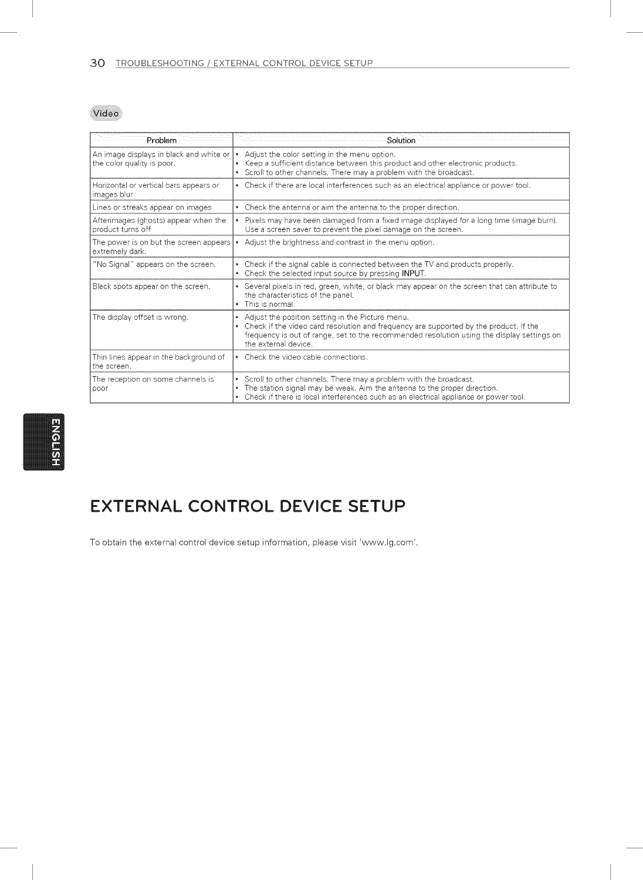Video

| Problem                                                               | Solution                                                                                                                                                                                                                                                        |
|-----------------------------------------------------------------------|-----------------------------------------------------------------------------------------------------------------------------------------------------------------------------------------------------------------------------------------------------------------|
| An image displays in black and white or<br>the color quality is poor. | Adjust the color setting in the menu option.<br>Keep a sufficient distance between this product and other electronic products.<br>• Scroll to other channels. There may a problem with the broadcast.                                                           |
| Horizontal or vertical bars appears or<br>images blur                 | • Check if there are local interferences such as an electrical appliance or power tool.                                                                                                                                                                         |
| Lines or streaks appear on images                                     | • Check the antenna or aim the antenna to the proper direction.                                                                                                                                                                                                 |
| Afterimages (ghosts) appear when the<br>product turns off             | • Pixels may have been damaged from a fixed image displayed for a long time (image burn).<br>Use a screen saver to prevent the pixel damage on the screen.                                                                                                      |
| The power is on but the screen appears<br>extremely dark.             | • Adjust the brightness and contrast in the menu option.                                                                                                                                                                                                        |
| "No Signal" appears on the screen.                                    | • Check if the signal cable is connected between the TV and products properly.<br>• Check the selected input source by pressing INPUT.                                                                                                                          |
| Black spots appear on the screen.                                     | • Several pixels in red, green, white, or black may appear on the screen that can attribute to<br>the characteristics of the panel.<br>• This is normal.                                                                                                        |
| The display offset is wrong.                                          | Adjust the position setting in the Picture menu.<br>Check if the video card resolution and frequency are supported by the product. If the<br>frequency is out of range, set to the recommended resolution using the display settings on<br>the external device. |
| Thin lines appear in the background of<br>the screen.                 | • Check the video cable connections.                                                                                                                                                                                                                            |
| The reception on some channels is<br>poor                             | • Scroll to other channels. There may a problem with the broadcast.<br>The station signal may be weak. Aim the antenna to the proper direction.<br>Check if there is local interferences such as an electrical appliance or power tool.                         |

## EXTERNAL CONTROL DEVICE SETUP

To obtain the external control device setup information, please visit 'www.lg.com'.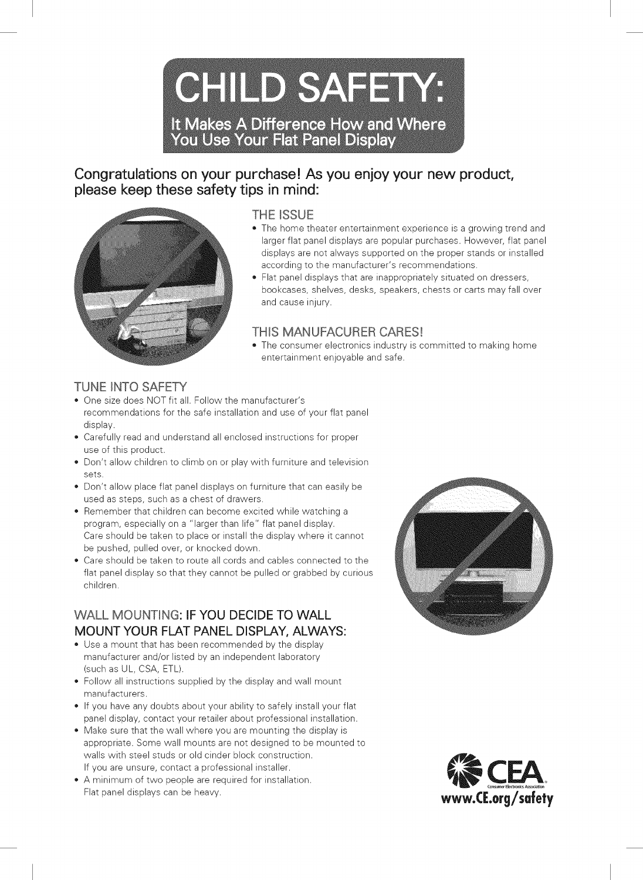**CHILD SAFETY:** It Makes A Difference How and Where **You Use Your Flat Panel Display** 

### Congratulations on your purchase! As you enjoy your new product, please keep these safety tips in mind:



#### THE ISSUE

- The home theater entertainment experience is a growing trend and larger flat panel displays are popular purchases. However, flat panel displays are not always supported on the proper stands or installed according to the manufacturer's recommendations.
- , Flat panel displays that are inappropriately situated on dressers, bookcases, shelves, desks, speakers, chests or carts may fall over and cause injury.

#### THIS MANUFACURER CARES!

• The consumer electronics industry is committed to making home entertainment enjoyable and safe.

#### TUNE INTO SAFETY

- , One size does NOT fit all. Follow the manufacturer's recommendations for the safe installation and use of your flat panel display.
- , Carefully read and understand all enclosed instructions for proper use of this product.
- , Don't allow children to climb on or play with furniture and television sets.
- , Don't allow place flat panel displays on furniture that can easily be used as steps, such as a chest of drawers.
- , Remember that children can become excited while watching a program, especially on a "larger than life" flat panel display. Care should be taken to place or install the display where it cannot be pushed, pulled over, or knocked down.
- , Care should be taken to route all cords and cables connected to the flat panel display so that they cannot be pulled or grabbed by curious children.

### WALL MOUNTING: IF YOU DECIDE TO WALL MOUNT YOUR FLAT PANEL DISPLAY, ALWAYS:

- Use a mount that has been recommended by the display manufacturer and/or listed by an independent laboratory (such as UL, CSA, ETL).
- , Follow all instructions supplied by the display and wall mount manufacturers.
- , If you have any doubts about your ability to safely install your flat panel display, contact your retailer about professional installation.
- Make sure that the wall where you are mounting the display is appropriate. Some wall mounts are not designed to be mounted to walls with steel studs or old cinder block construction. If you are unsure, contact a professional installer.
- , A minimum of two people are required for installation. Flat panel displays can be heavy.